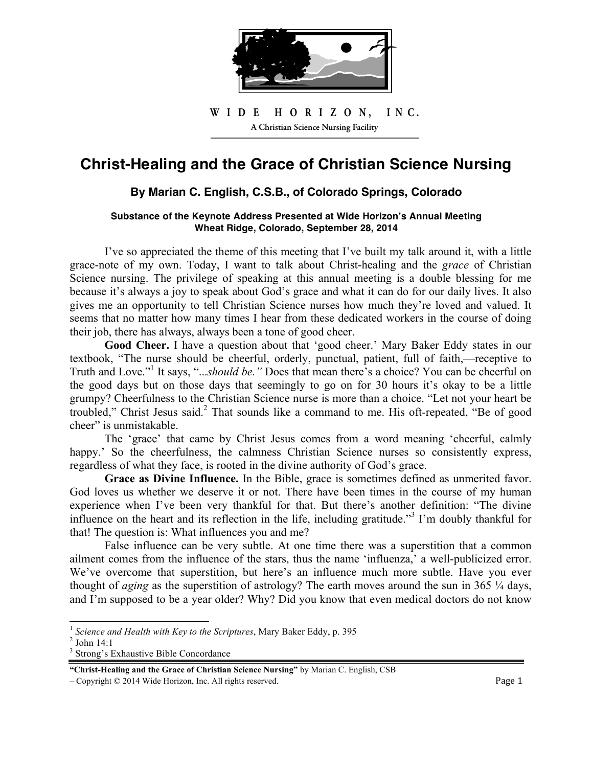

#### H O R I Z O N, INC. **A Christian Science Nursing Facility**ı W I D E H O R I Z O N, I N C.

# **Christ-Healing and the Grace of Christian Science Nursing**

# **By Marian C. English, C.S.B., of Colorado Springs, Colorado**

## **Substance of the Keynote Address Presented at Wide Horizon!s Annual Meeting Wheat Ridge, Colorado, September 28, 2014**

I've so appreciated the theme of this meeting that I've built my talk around it, with a little grace-note of my own. Today, I want to talk about Christ-healing and the *grace* of Christian Science nursing. The privilege of speaking at this annual meeting is a double blessing for me because it's always a joy to speak about God's grace and what it can do for our daily lives. It also gives me an opportunity to tell Christian Science nurses how much they're loved and valued. It seems that no matter how many times I hear from these dedicated workers in the course of doing their job, there has always, always been a tone of good cheer.

**Good Cheer.** I have a question about that 'good cheer.' Mary Baker Eddy states in our textbook, "The nurse should be cheerful, orderly, punctual, patient, full of faith,—receptive to Truth and Love."<sup>1</sup> It says, "...*should be.*" Does that mean there's a choice? You can be cheerful on the good days but on those days that seemingly to go on for 30 hours it's okay to be a little grumpy? Cheerfulness to the Christian Science nurse is more than a choice. "Let not your heart be troubled," Christ Jesus said.<sup>2</sup> That sounds like a command to me. His oft-repeated, "Be of good cheer" is unmistakable.

The 'grace' that came by Christ Jesus comes from a word meaning 'cheerful, calmly happy.' So the cheerfulness, the calmness Christian Science nurses so consistently express, regardless of what they face, is rooted in the divine authority of God's grace.

**Grace as Divine Influence.** In the Bible, grace is sometimes defined as unmerited favor. God loves us whether we deserve it or not. There have been times in the course of my human experience when I've been very thankful for that. But there's another definition: "The divine influence on the heart and its reflection in the life, including gratitude."<sup>3</sup> I'm doubly thankful for that! The question is: What influences you and me?

False influence can be very subtle. At one time there was a superstition that a common ailment comes from the influence of the stars, thus the name 'influenza,' a well-publicized error. We've overcome that superstition, but here's an influence much more subtle. Have you ever thought of *aging* as the superstition of astrology? The earth moves around the sun in 365  $\frac{1}{4}$  days, and I'm supposed to be a year older? Why? Did you know that even medical doctors do not know

 $\overline{a}$ 

<sup>&</sup>lt;sup>1</sup> Science and Health with Key to the Scriptures, Mary Baker Eddy, p. 395

 $2$  John 14:1

<sup>&</sup>lt;sup>3</sup> Strong's Exhaustive Bible Concordance

**<sup>&</sup>quot;Christ-Healing and the Grace of Christian Science Nursing"** by Marian C. English, CSB

 $\sim$  Copyright  $\odot$  2014 Wide Horizon, Inc. All rights reserved.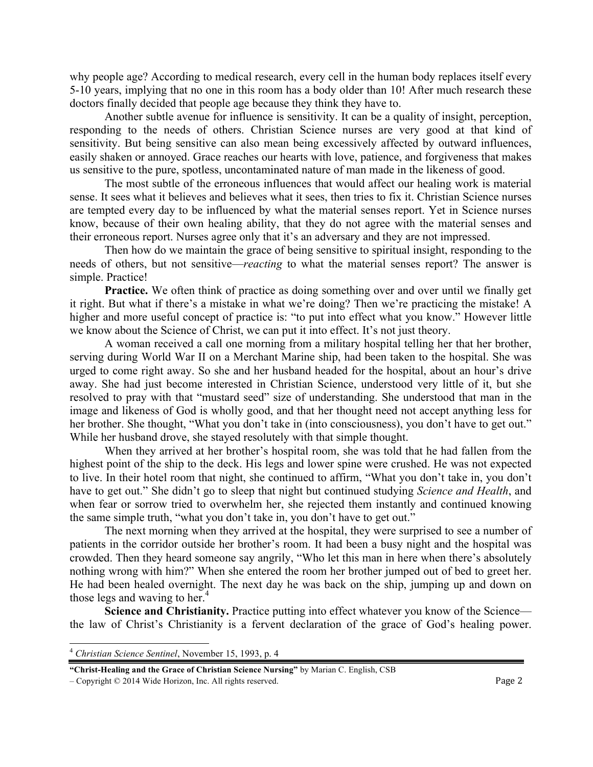why people age? According to medical research, every cell in the human body replaces itself every 5-10 years, implying that no one in this room has a body older than 10! After much research these doctors finally decided that people age because they think they have to.

Another subtle avenue for influence is sensitivity. It can be a quality of insight, perception, responding to the needs of others. Christian Science nurses are very good at that kind of sensitivity. But being sensitive can also mean being excessively affected by outward influences, easily shaken or annoyed. Grace reaches our hearts with love, patience, and forgiveness that makes us sensitive to the pure, spotless, uncontaminated nature of man made in the likeness of good.

The most subtle of the erroneous influences that would affect our healing work is material sense. It sees what it believes and believes what it sees, then tries to fix it. Christian Science nurses are tempted every day to be influenced by what the material senses report. Yet in Science nurses know, because of their own healing ability, that they do not agree with the material senses and their erroneous report. Nurses agree only that it's an adversary and they are not impressed.

Then how do we maintain the grace of being sensitive to spiritual insight, responding to the needs of others, but not sensitive—*reacting* to what the material senses report? The answer is simple. Practice!

**Practice.** We often think of practice as doing something over and over until we finally get it right. But what if there's a mistake in what we're doing? Then we're practicing the mistake! A higher and more useful concept of practice is: "to put into effect what you know." However little we know about the Science of Christ, we can put it into effect. It's not just theory.

A woman received a call one morning from a military hospital telling her that her brother, serving during World War II on a Merchant Marine ship, had been taken to the hospital. She was urged to come right away. So she and her husband headed for the hospital, about an hour's drive away. She had just become interested in Christian Science, understood very little of it, but she resolved to pray with that "mustard seed" size of understanding. She understood that man in the image and likeness of God is wholly good, and that her thought need not accept anything less for her brother. She thought, "What you don't take in (into consciousness), you don't have to get out." While her husband drove, she stayed resolutely with that simple thought.

When they arrived at her brother's hospital room, she was told that he had fallen from the highest point of the ship to the deck. His legs and lower spine were crushed. He was not expected to live. In their hotel room that night, she continued to affirm, "What you don't take in, you don't have to get out." She didn't go to sleep that night but continued studying *Science and Health*, and when fear or sorrow tried to overwhelm her, she rejected them instantly and continued knowing the same simple truth, "what you don't take in, you don't have to get out."

The next morning when they arrived at the hospital, they were surprised to see a number of patients in the corridor outside her brother's room. It had been a busy night and the hospital was crowded. Then they heard someone say angrily, "Who let this man in here when there's absolutely nothing wrong with him?" When she entered the room her brother jumped out of bed to greet her. He had been healed overnight. The next day he was back on the ship, jumping up and down on those legs and waving to her.<sup>4</sup>

**Science and Christianity.** Practice putting into effect whatever you know of the Science the law of Christ's Christianity is a fervent declaration of the grace of God's healing power.

 $\overline{a}$ 

 $\sim$  - Copyright  $\degree$  2014 Wide Horizon, Inc. All rights reserved.

<sup>4</sup> *Christian Science Sentinel*, November 15, 1993, p. 4

**<sup>&</sup>quot;Christ-Healing and the Grace of Christian Science Nursing"** by Marian C. English, CSB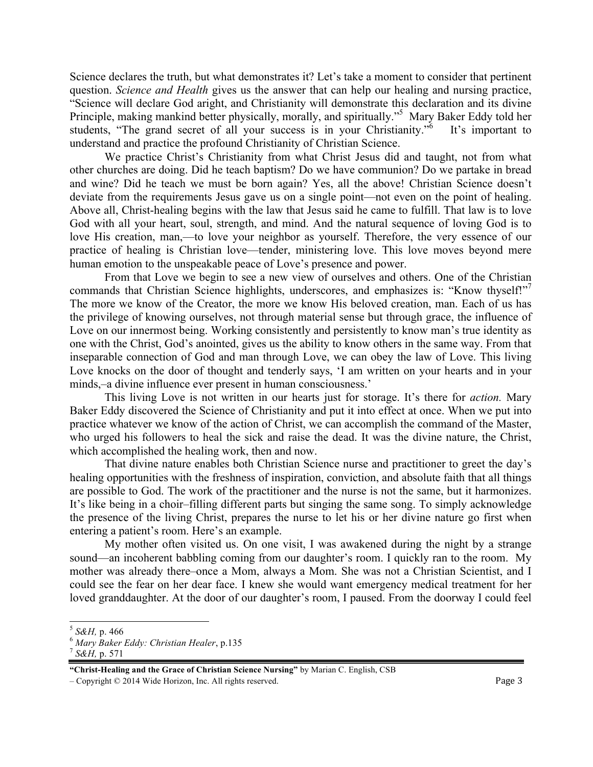Science declares the truth, but what demonstrates it? Let's take a moment to consider that pertinent question. *Science and Health* gives us the answer that can help our healing and nursing practice, "Science will declare God aright, and Christianity will demonstrate this declaration and its divine Principle, making mankind better physically, morally, and spiritually."<sup>5</sup> Mary Baker Eddy told her students, "The grand secret of all your success is in your Christianity."<sup>6</sup> It's important to understand and practice the profound Christianity of Christian Science.

We practice Christ's Christianity from what Christ Jesus did and taught, not from what other churches are doing. Did he teach baptism? Do we have communion? Do we partake in bread and wine? Did he teach we must be born again? Yes, all the above! Christian Science doesn't deviate from the requirements Jesus gave us on a single point—not even on the point of healing. Above all, Christ-healing begins with the law that Jesus said he came to fulfill. That law is to love God with all your heart, soul, strength, and mind. And the natural sequence of loving God is to love His creation, man,—to love your neighbor as yourself. Therefore, the very essence of our practice of healing is Christian love—tender, ministering love. This love moves beyond mere human emotion to the unspeakable peace of Love's presence and power.

From that Love we begin to see a new view of ourselves and others. One of the Christian commands that Christian Science highlights, underscores, and emphasizes is: "Know thyself!"<sup>7</sup> The more we know of the Creator, the more we know His beloved creation, man. Each of us has the privilege of knowing ourselves, not through material sense but through grace, the influence of Love on our innermost being. Working consistently and persistently to know man's true identity as one with the Christ, God's anointed, gives us the ability to know others in the same way. From that inseparable connection of God and man through Love, we can obey the law of Love. This living Love knocks on the door of thought and tenderly says, 'I am written on your hearts and in your minds,–a divine influence ever present in human consciousness.'

This living Love is not written in our hearts just for storage. It's there for *action.* Mary Baker Eddy discovered the Science of Christianity and put it into effect at once. When we put into practice whatever we know of the action of Christ, we can accomplish the command of the Master, who urged his followers to heal the sick and raise the dead. It was the divine nature, the Christ, which accomplished the healing work, then and now.

That divine nature enables both Christian Science nurse and practitioner to greet the day's healing opportunities with the freshness of inspiration, conviction, and absolute faith that all things are possible to God. The work of the practitioner and the nurse is not the same, but it harmonizes. It's like being in a choir–filling different parts but singing the same song. To simply acknowledge the presence of the living Christ, prepares the nurse to let his or her divine nature go first when entering a patient's room. Here's an example.

My mother often visited us. On one visit, I was awakened during the night by a strange sound—an incoherent babbling coming from our daughter's room. I quickly ran to the room. My mother was already there–once a Mom, always a Mom. She was not a Christian Scientist, and I could see the fear on her dear face. I knew she would want emergency medical treatment for her loved granddaughter. At the door of our daughter's room, I paused. From the doorway I could feel

 $\overline{a}$ 

 $\sim$  Copyright  $\degree$  2014 Wide Horizon, Inc. All rights reserved.

<sup>&</sup>lt;sup>5</sup> S&H, p. 466<br><sup>6</sup> *Mary Baker Eddy: Christian Healer*, p.135<br><sup>7</sup> S&H, p. 571

**<sup>&</sup>quot;Christ-Healing and the Grace of Christian Science Nursing"** by Marian C. English, CSB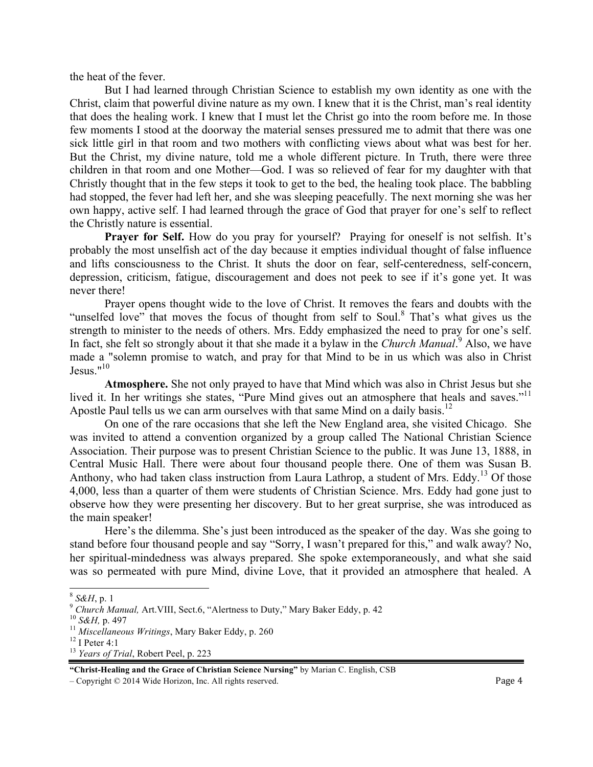the heat of the fever.

But I had learned through Christian Science to establish my own identity as one with the Christ, claim that powerful divine nature as my own. I knew that it is the Christ, man's real identity that does the healing work. I knew that I must let the Christ go into the room before me. In those few moments I stood at the doorway the material senses pressured me to admit that there was one sick little girl in that room and two mothers with conflicting views about what was best for her. But the Christ, my divine nature, told me a whole different picture. In Truth, there were three children in that room and one Mother—God. I was so relieved of fear for my daughter with that Christly thought that in the few steps it took to get to the bed, the healing took place. The babbling had stopped, the fever had left her, and she was sleeping peacefully. The next morning she was her own happy, active self. I had learned through the grace of God that prayer for one's self to reflect the Christly nature is essential.

Prayer for Self. How do you pray for yourself? Praying for oneself is not selfish. It's probably the most unselfish act of the day because it empties individual thought of false influence and lifts consciousness to the Christ. It shuts the door on fear, self-centeredness, self-concern, depression, criticism, fatigue, discouragement and does not peek to see if it's gone yet. It was never there!

Prayer opens thought wide to the love of Christ. It removes the fears and doubts with the "unselfed love" that moves the focus of thought from self to Soul.<sup>8</sup> That's what gives us the strength to minister to the needs of others. Mrs. Eddy emphasized the need to pray for one's self. In fact, she felt so strongly about it that she made it a bylaw in the *Church Manual*.<sup>9</sup> Also, we have made a "solemn promise to watch, and pray for that Mind to be in us which was also in Christ Jesus." $10$ 

**Atmosphere.** She not only prayed to have that Mind which was also in Christ Jesus but she lived it. In her writings she states, "Pure Mind gives out an atmosphere that heals and saves."<sup>11</sup> Apostle Paul tells us we can arm ourselves with that same Mind on a daily basis.<sup>12</sup>

On one of the rare occasions that she left the New England area, she visited Chicago. She was invited to attend a convention organized by a group called The National Christian Science Association. Their purpose was to present Christian Science to the public. It was June 13, 1888, in Central Music Hall. There were about four thousand people there. One of them was Susan B. Anthony, who had taken class instruction from Laura Lathrop, a student of Mrs. Eddy.<sup>13</sup> Of those 4,000, less than a quarter of them were students of Christian Science. Mrs. Eddy had gone just to observe how they were presenting her discovery. But to her great surprise, she was introduced as the main speaker!

Here's the dilemma. She's just been introduced as the speaker of the day. Was she going to stand before four thousand people and say "Sorry, I wasn't prepared for this," and walk away? No, her spiritual-mindedness was always prepared. She spoke extemporaneously, and what she said was so permeated with pure Mind, divine Love, that it provided an atmosphere that healed. A

 $8$  S&H, p. 1

<sup>&</sup>lt;sup>9</sup> *Church Manual, Art.VIII, Sect.6, "Alertness to Duty," Mary Baker Eddy, p. 42*<br><sup>10</sup> *S&H, p. 497*<br><sup>11</sup> *Miscellaneous Writings, Mary Baker Eddy, p. 260* <sup>12</sup> I Peter 4:1

<sup>13</sup> *Years of Trial*, Robert Peel, p. 223

**<sup>&</sup>quot;Christ-Healing and the Grace of Christian Science Nursing"** by Marian C. English, CSB

 $\sim$  Copyright  $\degree$  2014 Wide Horizon, Inc. All rights reserved.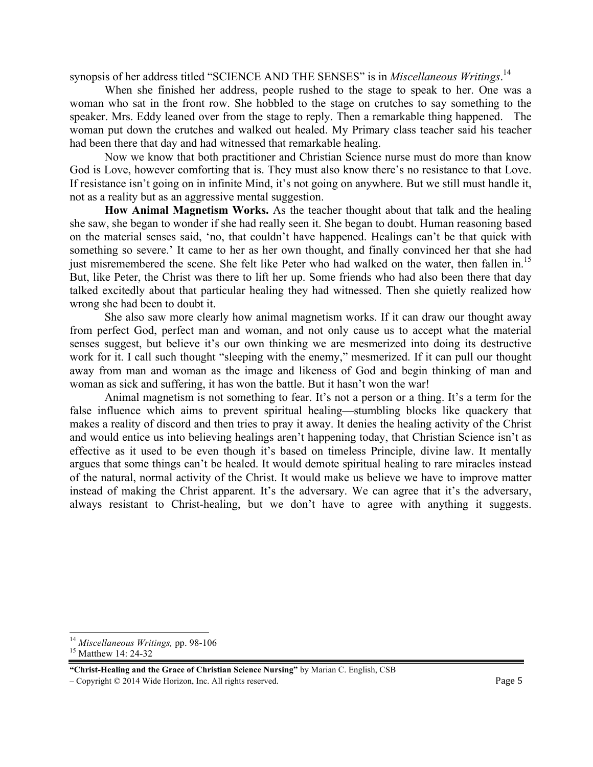synopsis of her address titled "SCIENCE AND THE SENSES" is in *Miscellaneous Writings*. 14

When she finished her address, people rushed to the stage to speak to her. One was a woman who sat in the front row. She hobbled to the stage on crutches to say something to the speaker. Mrs. Eddy leaned over from the stage to reply. Then a remarkable thing happened. The woman put down the crutches and walked out healed. My Primary class teacher said his teacher had been there that day and had witnessed that remarkable healing.

Now we know that both practitioner and Christian Science nurse must do more than know God is Love, however comforting that is. They must also know there's no resistance to that Love. If resistance isn't going on in infinite Mind, it's not going on anywhere. But we still must handle it, not as a reality but as an aggressive mental suggestion.

**How Animal Magnetism Works.** As the teacher thought about that talk and the healing she saw, she began to wonder if she had really seen it. She began to doubt. Human reasoning based on the material senses said, 'no, that couldn't have happened. Healings can't be that quick with something so severe.' It came to her as her own thought, and finally convinced her that she had just misremembered the scene. She felt like Peter who had walked on the water, then fallen in.<sup>15</sup> But, like Peter, the Christ was there to lift her up. Some friends who had also been there that day talked excitedly about that particular healing they had witnessed. Then she quietly realized how wrong she had been to doubt it.

She also saw more clearly how animal magnetism works. If it can draw our thought away from perfect God, perfect man and woman, and not only cause us to accept what the material senses suggest, but believe it's our own thinking we are mesmerized into doing its destructive work for it. I call such thought "sleeping with the enemy," mesmerized. If it can pull our thought away from man and woman as the image and likeness of God and begin thinking of man and woman as sick and suffering, it has won the battle. But it hasn't won the war!

Animal magnetism is not something to fear. It's not a person or a thing. It's a term for the false influence which aims to prevent spiritual healing—stumbling blocks like quackery that makes a reality of discord and then tries to pray it away. It denies the healing activity of the Christ and would entice us into believing healings aren't happening today, that Christian Science isn't as effective as it used to be even though it's based on timeless Principle, divine law. It mentally argues that some things can't be healed. It would demote spiritual healing to rare miracles instead of the natural, normal activity of the Christ. It would make us believe we have to improve matter instead of making the Christ apparent. It's the adversary. We can agree that it's the adversary, always resistant to Christ-healing, but we don't have to agree with anything it suggests.

 $\overline{a}$ <sup>14</sup> *Miscellaneous Writings, pp.* 98-106<br><sup>15</sup> Matthew 14: 24-32

**<sup>&</sup>quot;Christ-Healing and the Grace of Christian Science Nursing"** by Marian C. English, CSB

 $\sim$  Copyright  $\degree$  2014 Wide Horizon, Inc. All rights reserved.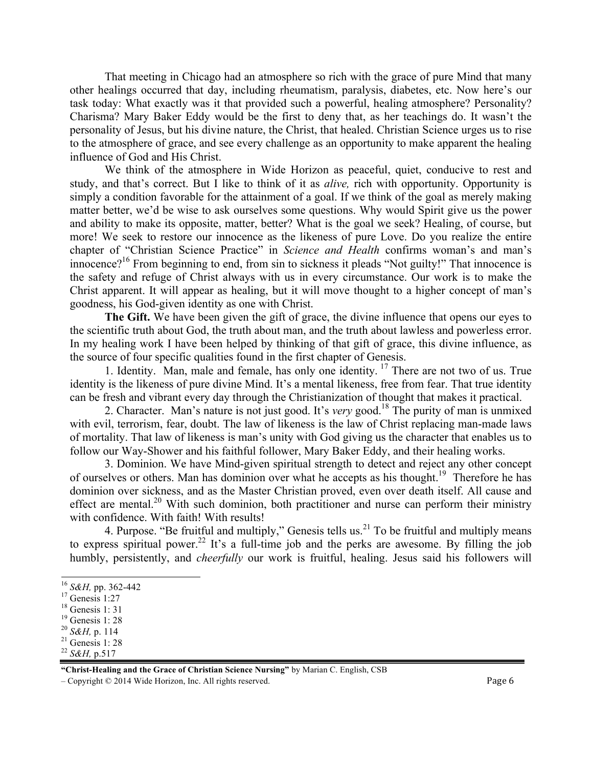That meeting in Chicago had an atmosphere so rich with the grace of pure Mind that many other healings occurred that day, including rheumatism, paralysis, diabetes, etc. Now here's our task today: What exactly was it that provided such a powerful, healing atmosphere? Personality? Charisma? Mary Baker Eddy would be the first to deny that, as her teachings do. It wasn't the personality of Jesus, but his divine nature, the Christ, that healed. Christian Science urges us to rise to the atmosphere of grace, and see every challenge as an opportunity to make apparent the healing influence of God and His Christ.

We think of the atmosphere in Wide Horizon as peaceful, quiet, conducive to rest and study, and that's correct. But I like to think of it as *alive,* rich with opportunity. Opportunity is simply a condition favorable for the attainment of a goal. If we think of the goal as merely making matter better, we'd be wise to ask ourselves some questions. Why would Spirit give us the power and ability to make its opposite, matter, better? What is the goal we seek? Healing, of course, but more! We seek to restore our innocence as the likeness of pure Love. Do you realize the entire chapter of "Christian Science Practice" in *Science and Health* confirms woman's and man's innocence?<sup>16</sup> From beginning to end, from sin to sickness it pleads "Not guilty!" That innocence is the safety and refuge of Christ always with us in every circumstance. Our work is to make the Christ apparent. It will appear as healing, but it will move thought to a higher concept of man's goodness, his God-given identity as one with Christ.

**The Gift.** We have been given the gift of grace, the divine influence that opens our eyes to the scientific truth about God, the truth about man, and the truth about lawless and powerless error. In my healing work I have been helped by thinking of that gift of grace, this divine influence, as the source of four specific qualities found in the first chapter of Genesis.

1. Identity. Man, male and female, has only one identity.<sup>17</sup> There are not two of us. True identity is the likeness of pure divine Mind. It's a mental likeness, free from fear. That true identity can be fresh and vibrant every day through the Christianization of thought that makes it practical.

2. Character. Man's nature is not just good. It's *very* good.<sup>18</sup> The purity of man is unmixed with evil, terrorism, fear, doubt. The law of likeness is the law of Christ replacing man-made laws of mortality. That law of likeness is man's unity with God giving us the character that enables us to follow our Way-Shower and his faithful follower, Mary Baker Eddy, and their healing works.

3. Dominion. We have Mind-given spiritual strength to detect and reject any other concept of ourselves or others. Man has dominion over what he accepts as his thought.19 Therefore he has dominion over sickness, and as the Master Christian proved, even over death itself. All cause and effect are mental.<sup>20</sup> With such dominion, both practitioner and nurse can perform their ministry with confidence. With faith! With results!

4. Purpose. "Be fruitful and multiply," Genesis tells us. $^{21}$  To be fruitful and multiply means to express spiritual power.<sup>22</sup> It's a full-time job and the perks are awesome. By filling the job humbly, persistently, and *cheerfully* our work is fruitful, healing. Jesus said his followers will

 $\overline{a}$ 

**"Christ-Healing and the Grace of Christian Science Nursing"** by Marian C. English, CSB

 $\sim$  Copyright  $\degree$  2014 Wide Horizon, Inc. All rights reserved.

<sup>&</sup>lt;sup>16</sup> *S&H*, pp. 362-442<br><sup>17</sup> Genesis 1:27

Genesis 1: 31

<sup>&</sup>lt;sup>19</sup> Genesis 1: 28<br><sup>20</sup> S&*H*, p. 114

<sup>&</sup>lt;sup>21</sup> Genesis 1: 28

<sup>22</sup> *S&H,* p.517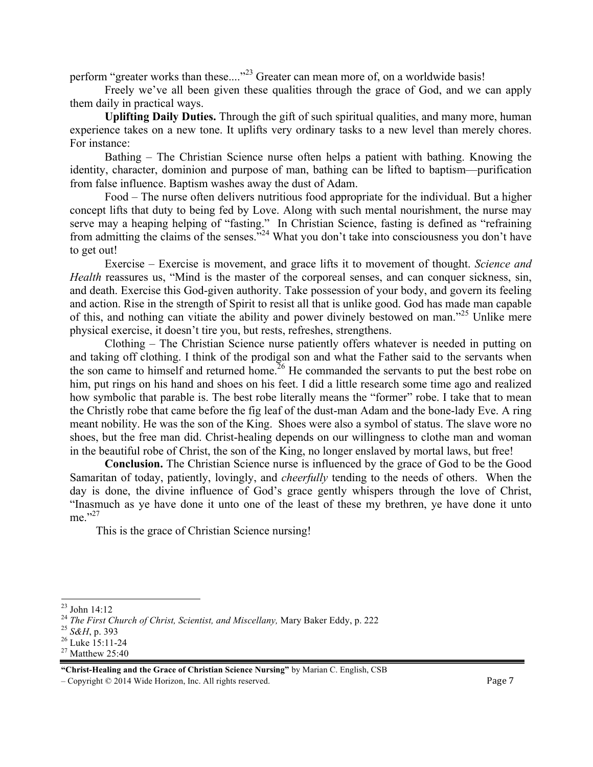perform "greater works than these...."<sup>23</sup> Greater can mean more of, on a worldwide basis!

Freely we've all been given these qualities through the grace of God, and we can apply them daily in practical ways.

**Uplifting Daily Duties.** Through the gift of such spiritual qualities, and many more, human experience takes on a new tone. It uplifts very ordinary tasks to a new level than merely chores. For instance:

Bathing – The Christian Science nurse often helps a patient with bathing. Knowing the identity, character, dominion and purpose of man, bathing can be lifted to baptism—purification from false influence. Baptism washes away the dust of Adam.

Food – The nurse often delivers nutritious food appropriate for the individual. But a higher concept lifts that duty to being fed by Love. Along with such mental nourishment, the nurse may serve may a heaping helping of "fasting." In Christian Science, fasting is defined as "refraining from admitting the claims of the senses."<sup>24</sup> What you don't take into consciousness you don't have to get out!

Exercise – Exercise is movement, and grace lifts it to movement of thought. *Science and Health* reassures us, "Mind is the master of the corporeal senses, and can conquer sickness, sin, and death. Exercise this God-given authority. Take possession of your body, and govern its feeling and action. Rise in the strength of Spirit to resist all that is unlike good. God has made man capable of this, and nothing can vitiate the ability and power divinely bestowed on man."<sup>25</sup> Unlike mere physical exercise, it doesn't tire you, but rests, refreshes, strengthens.

Clothing – The Christian Science nurse patiently offers whatever is needed in putting on and taking off clothing. I think of the prodigal son and what the Father said to the servants when the son came to himself and returned home.<sup>26</sup> He commanded the servants to put the best robe on him, put rings on his hand and shoes on his feet. I did a little research some time ago and realized how symbolic that parable is. The best robe literally means the "former" robe. I take that to mean the Christly robe that came before the fig leaf of the dust-man Adam and the bone-lady Eve. A ring meant nobility. He was the son of the King. Shoes were also a symbol of status. The slave wore no shoes, but the free man did. Christ-healing depends on our willingness to clothe man and woman in the beautiful robe of Christ, the son of the King, no longer enslaved by mortal laws, but free!

**Conclusion.** The Christian Science nurse is influenced by the grace of God to be the Good Samaritan of today, patiently, lovingly, and *cheerfully* tending to the needs of others. When the day is done, the divine influence of God's grace gently whispers through the love of Christ, "Inasmuch as ye have done it unto one of the least of these my brethren, ye have done it unto me $^{27}$ 

This is the grace of Christian Science nursing!

 $\sim$  Copyright  $\degree$  2014 Wide Horizon, Inc. All rights reserved.

 $\overline{a}$  $23$  John 14:12

<sup>&</sup>lt;sup>24</sup> *The First Church of Christ, Scientist, and Miscellany, Mary Baker Eddy, p.* 222<br><sup>25</sup> *S&H, p.* 393<br><sup>26</sup> Luke 15:11-24

<sup>27</sup> Matthew 25:40

**<sup>&</sup>quot;Christ-Healing and the Grace of Christian Science Nursing"** by Marian C. English, CSB